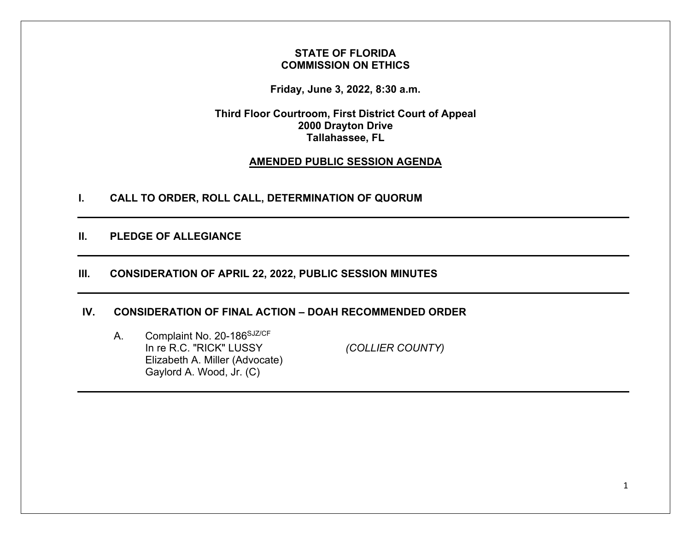## **STATE OF FLORIDA COMMISSION ON ETHICS**

**Friday, June 3, 2022, 8:30 a.m.** 

**Third Floor Courtroom, First District Court of Appeal 2000 Drayton Drive Tallahassee, FL** 

## **AMENDED PUBLIC SESSION AGENDA**

**I. CALL TO ORDER, ROLL CALL, DETERMINATION OF QUORUM** 

**II. PLEDGE OF ALLEGIANCE** 

# **III. CONSIDERATION OF APRIL 22, 2022, PUBLIC SESSION MINUTES**

## **IV. CONSIDERATION OF FINAL ACTION – DOAH RECOMMENDED ORDER**

A. Complaint No. 20-186SJZ/CF In re R.C. "RICK" LUSSY *(COLLIER COUNTY)* Elizabeth A. Miller (Advocate) Gaylord A. Wood, Jr. (C)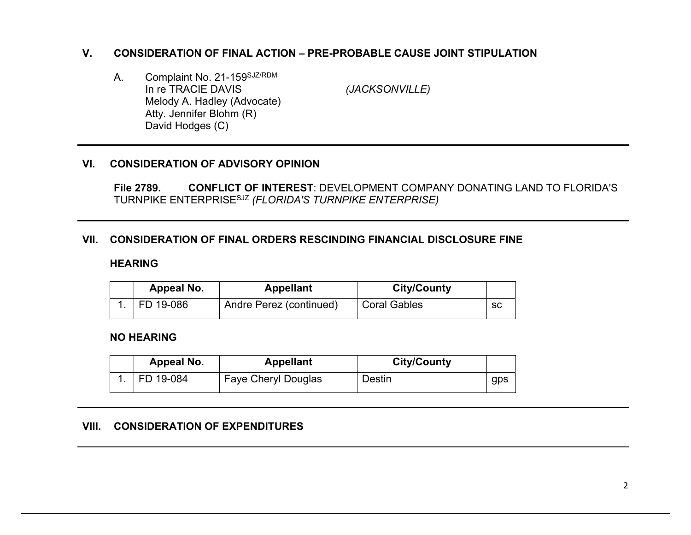## **V. CONSIDERATION OF FINAL ACTION – PRE-PROBABLE CAUSE JOINT STIPULATION**

A. Complaint No. 21-159<sup>SJZ/RDM</sup><br>In re TRACIE DAVIS Melody A. Hadley (Advocate) Atty. Jennifer Blohm (R) David Hodges (C)

*(JACKSONVILLE)* 

## **VI. CONSIDERATION OF ADVISORY OPINION**

**File 2789. CONFLICT OF INTEREST**: DEVELOPMENT COMPANY DONATING LAND TO FLORIDA'S TURNPIKE ENTERPRISESJZ *(FLORIDA'S TURNPIKE ENTERPRISE)* 

## **VII. CONSIDERATION OF FINAL ORDERS RESCINDING FINANCIAL DISCLOSURE FINE**

#### **HEARING**

| Appeal No. | <b>Appellant</b>        | <b>City/County</b>  |     |
|------------|-------------------------|---------------------|-----|
| FD 19-086  | Andre Perez (continued) | <b>Coral Gables</b> | -SG |

## **NO HEARING**

| Appeal No. | <b>Appellant</b>           | <b>City/County</b> |     |
|------------|----------------------------|--------------------|-----|
| FD 19-084  | <b>Faye Cheryl Douglas</b> | Destin             | gps |

#### **VIII. CONSIDERATION OF EXPENDITURES**